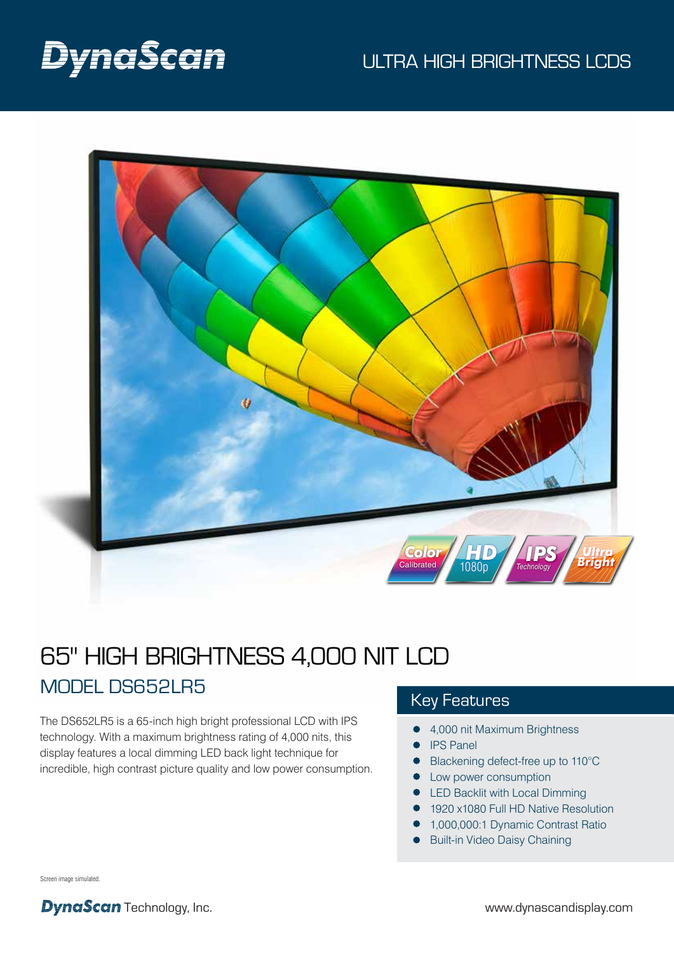# DynaScan

### ULTRA HIGH BRIGHTNESS LCDS



## 65" HIGH BRIGHTNESS 4,000 NIT LCD MODEL DS652LR5

The DS652LR5 is a 65-inch high bright professional LCD with IPS technology. With a maximum brightness rating of 4,000 nits, this display features a local dimming LED back light technique for incredible, high contrast picture quality and low power consumption.

### Key Features

- 4,000 nit Maximum Brightness
- **•** IPS Panel
- Blackening defect-free up to 110°C
- **•** Low power consumption
- **LED Backlit with Local Dimming**
- 1920 x1080 Full HD Native Resolution
- 1,000,000:1 Dynamic Contrast Ratio
- **•** Built-in Video Daisy Chaining

Screen image simulated.

**DynaScan** Technology, Inc. www.dynascandisplay.com